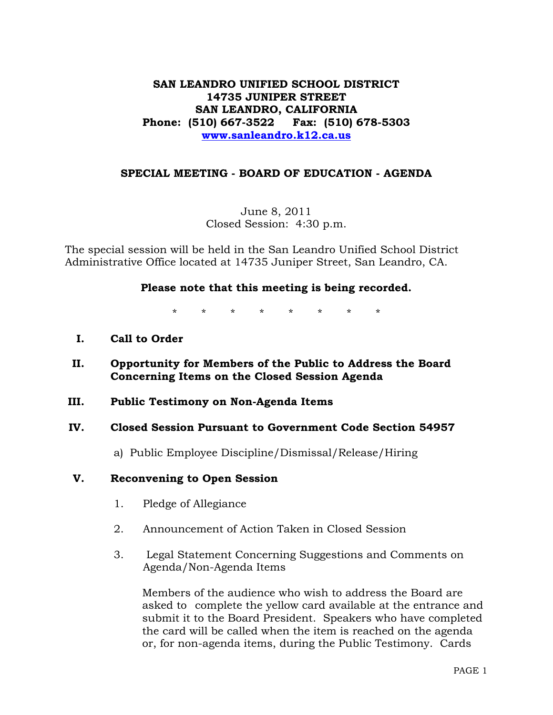# **SAN LEANDRO UNIFIED SCHOOL DISTRICT 14735 JUNIPER STREET SAN LEANDRO, CALIFORNIA Phone: (510) 667-3522 Fax: (510) 678-5303 www.sanleandro.k12.ca.us**

## **SPECIAL MEETING - BOARD OF EDUCATION - AGENDA**

June 8, 2011 Closed Session: 4:30 p.m.

The special session will be held in the San Leandro Unified School District Administrative Office located at 14735 Juniper Street, San Leandro, CA.

## **Please note that this meeting is being recorded.**

\* \* \* \* \* \* \* \*

- **I. Call to Order**
- **II. Opportunity for Members of the Public to Address the Board Concerning Items on the Closed Session Agenda**
- **III. Public Testimony on Non-Agenda Items**

## **IV. Closed Session Pursuant to Government Code Section 54957**

a) Public Employee Discipline/Dismissal/Release/Hiring

#### **V. Reconvening to Open Session**

- 1. Pledge of Allegiance
- 2. Announcement of Action Taken in Closed Session
- 3. Legal Statement Concerning Suggestions and Comments on Agenda/Non-Agenda Items

 Members of the audience who wish to address the Board are asked to complete the yellow card available at the entrance and submit it to the Board President. Speakers who have completed the card will be called when the item is reached on the agenda or, for non-agenda items, during the Public Testimony. Cards